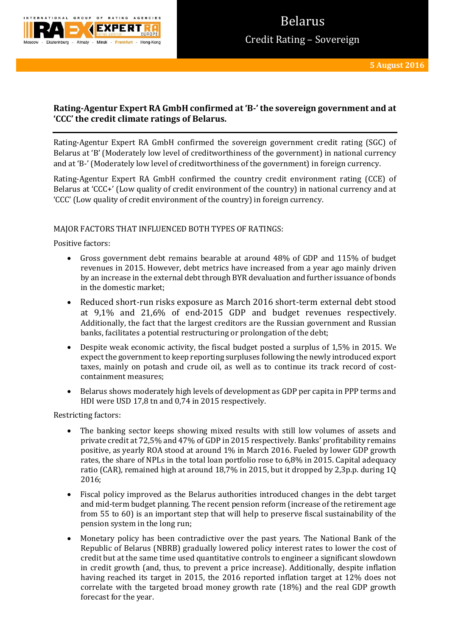

# **Rating-Agentur Expert RA GmbH confirmed at 'B-' the sovereign government and at 'CCC' the credit climate ratings of Belarus.**

Rating-Agentur Expert RA GmbH confirmed the sovereign government credit rating (SGC) of Belarus at 'B' (Moderately low level of creditworthiness of the government) in national currency and at 'B-' (Moderately low level of creditworthiness of the government) in foreign currency.

Rating-Agentur Expert RA GmbH confirmed the country credit environment rating (CCE) of Belarus at 'CCC+' (Low quality of credit environment of the country) in national currency and at 'CCC' (Low quality of credit environment of the country) in foreign currency.

## MAJOR FACTORS THAT INFLUENCED BOTH TYPES OF RATINGS:

Positive factors:

- Gross government debt remains bearable at around 48% of GDP and 115% of budget revenues in 2015. However, debt metrics have increased from a year ago mainly driven by an increase in the external debt through BYR devaluation and further issuance of bonds in the domestic market;
- Reduced short-run risks exposure as March 2016 short-term external debt stood at 9,1% and 21,6% of end-2015 GDP and budget revenues respectively. Additionally, the fact that the largest creditors are the Russian government and Russian banks, facilitates a potential restructuring or prolongation of the debt;
- Despite weak economic activity, the fiscal budget posted a surplus of 1,5% in 2015. We expect the government to keep reporting surpluses following the newly introduced export taxes, mainly on potash and crude oil, as well as to continue its track record of costcontainment measures;
- Belarus shows moderately high levels of development as GDP per capita in PPP terms and HDI were USD 17,8 tn and 0,74 in 2015 respectively.

Restricting factors:

- The banking sector keeps showing mixed results with still low volumes of assets and private credit at 72,5% and 47% of GDP in 2015 respectively. Banks' profitability remains positive, as yearly ROA stood at around 1% in March 2016. Fueled by lower GDP growth rates, the share of NPLs in the total loan portfolio rose to 6,8% in 2015. Capital adequacy ratio (CAR), remained high at around 18,7% in 2015, but it dropped by 2,3p.p. during 1Q 2016;
- Fiscal policy improved as the Belarus authorities introduced changes in the debt target and mid-term budget planning. The recent pension reform (increase of the retirement age from 55 to 60) is an important step that will help to preserve fiscal sustainability of the pension system in the long run;
- Monetary policy has been contradictive over the past years. The National Bank of the Republic of Belarus (NBRB) gradually lowered policy interest rates to lower the cost of credit but at the same time used quantitative controls to engineer a significant slowdown in credit growth (and, thus, to prevent a price increase). Additionally, despite inflation having reached its target in 2015, the 2016 reported inflation target at 12% does not correlate with the targeted broad money growth rate (18%) and the real GDP growth forecast for the year.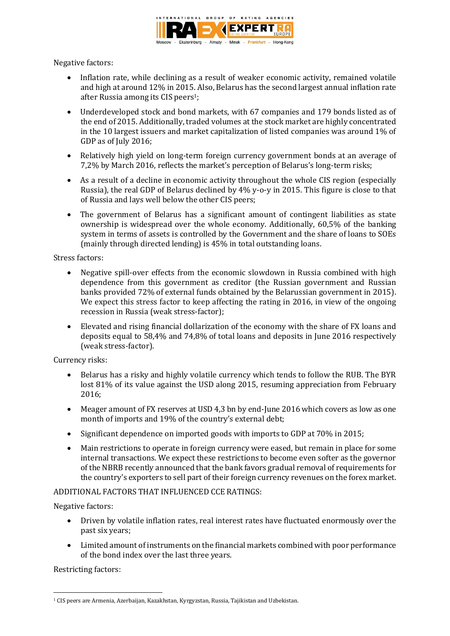

Negative factors:

- Inflation rate, while declining as a result of weaker economic activity, remained volatile and high at around 12% in 2015. Also, Belarus has the second largest annual inflation rate after Russia among its CIS peers1;
- Underdeveloped stock and bond markets, with 67 companies and 179 bonds listed as of the end of 2015. Additionally, traded volumes at the stock market are highly concentrated in the 10 largest issuers and market capitalization of listed companies was around 1% of GDP as of July 2016;
- Relatively high yield on long-term foreign currency government bonds at an average of 7,2% by March 2016, reflects the market's perception of Belarus's long-term risks;
- As a result of a decline in economic activity throughout the whole CIS region (especially Russia), the real GDP of Belarus declined by 4% y-o-y in 2015. This figure is close to that of Russia and lays well below the other CIS peers;
- The government of Belarus has a significant amount of contingent liabilities as state ownership is widespread over the whole economy. Additionally, 60,5% of the banking system in terms of assets is controlled by the Government and the share of loans to SOEs (mainly through directed lending) is 45% in total outstanding loans.

Stress factors:

- Negative spill-over effects from the economic slowdown in Russia combined with high dependence from this government as creditor (the Russian government and Russian banks provided 72% of external funds obtained by the Belarussian government in 2015). We expect this stress factor to keep affecting the rating in 2016, in view of the ongoing recession in Russia (weak stress-factor);
- Elevated and rising financial dollarization of the economy with the share of FX loans and deposits equal to 58,4% and 74,8% of total loans and deposits in June 2016 respectively (weak stress-factor).

Currency risks:

- Belarus has a risky and highly volatile currency which tends to follow the RUB. The BYR lost 81% of its value against the USD along 2015, resuming appreciation from February 2016;
- Meager amount of FX reserves at USD 4,3 bn by end-June 2016 which covers as low as one month of imports and 19% of the country's external debt;
- Significant dependence on imported goods with imports to GDP at 70% in 2015;
- Main restrictions to operate in foreign currency were eased, but remain in place for some internal transactions. We expect these restrictions to become even softer as the governor of the NBRB recently announced that the bank favors gradual removal of requirements for the country's exporters to sell part of their foreign currency revenues on the forex market.

## ADDITIONAL FACTORS THAT INFLUENCED CCE RATINGS:

Negative factors:

- Driven by volatile inflation rates, real interest rates have fluctuated enormously over the past six years;
- Limited amount of instruments on the financial markets combined with poor performance of the bond index over the last three years.

Restricting factors:

**<sup>.</sup>** <sup>1</sup> CIS peers are Armenia, Azerbaijan, Kazakhstan, Kyrgyzstan, Russia, Tajikistan and Uzbekistan.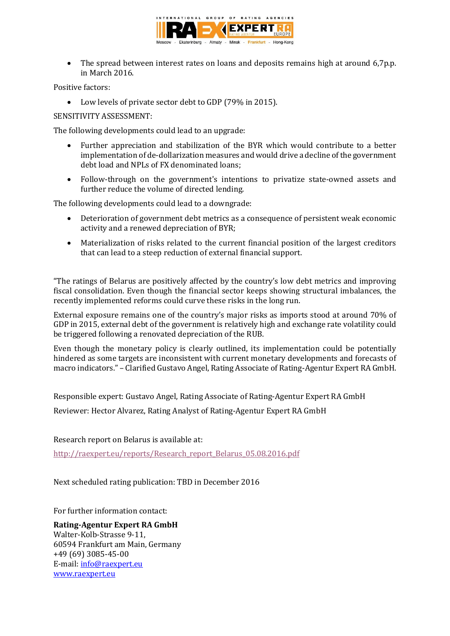

• The spread between interest rates on loans and deposits remains high at around 6,7p.p. in March 2016.

Positive factors:

Low levels of private sector debt to GDP (79% in 2015).

SENSITIVITY ASSESSMENT:

The following developments could lead to an upgrade:

- Further appreciation and stabilization of the BYR which would contribute to a better implementation of de-dollarization measures and would drive a decline of the government debt load and NPLs of FX denominated loans;
- Follow-through on the government's intentions to privatize state-owned assets and further reduce the volume of directed lending.

The following developments could lead to a downgrade:

- Deterioration of government debt metrics as a consequence of persistent weak economic activity and a renewed depreciation of BYR;
- Materialization of risks related to the current financial position of the largest creditors that can lead to a steep reduction of external financial support.

"The ratings of Belarus are positively affected by the country's low debt metrics and improving fiscal consolidation. Even though the financial sector keeps showing structural imbalances, the recently implemented reforms could curve these risks in the long run.

External exposure remains one of the country's major risks as imports stood at around 70% of GDP in 2015, external debt of the government is relatively high and exchange rate volatility could be triggered following a renovated depreciation of the RUB.

Even though the monetary policy is clearly outlined, its implementation could be potentially hindered as some targets are inconsistent with current monetary developments and forecasts of macro indicators." – Clarified Gustavo Angel, Rating Associate of Rating-Agentur Expert RA GmbH.

Responsible expert: Gustavo Angel, Rating Associate of Rating-Agentur Expert RA GmbH Reviewer: Hector Alvarez, Rating Analyst of Rating-Agentur Expert RA GmbH

Research report on Belarus is available at:

[http://raexpert.eu/reports/Research\\_report\\_Belarus\\_05.08.2016.pdf](http://raexpert.eu/reports/Research_report_Belarus_05.08.2016.pdf) 

Next scheduled rating publication: TBD in December 2016

For further information contact:

**Rating-Agentur Expert RA GmbH** Walter-Kolb-Strasse 9-11, 60594 Frankfurt am Main, Germany +49 (69) 3085-45-00 E-mail[: info@raexpert.eu](mailto:info@raexpert.eu) [www.raexpert.eu](http://raexpert.eu/)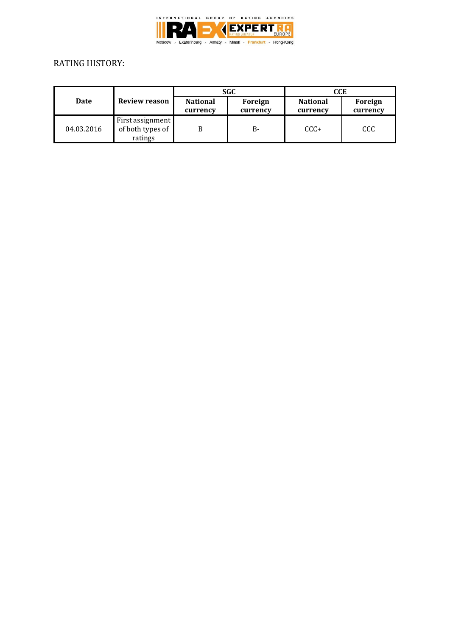

# RATING HISTORY:

| Date       | Review reason                                   | SGC                         |                     | CCE                         |                     |
|------------|-------------------------------------------------|-----------------------------|---------------------|-----------------------------|---------------------|
|            |                                                 | <b>National</b><br>currency | Foreign<br>currency | <b>National</b><br>currency | Foreign<br>currency |
| 04.03.2016 | First assignment<br>of both types of<br>ratings |                             | <b>B-</b>           | $CCC+$                      | CCC                 |